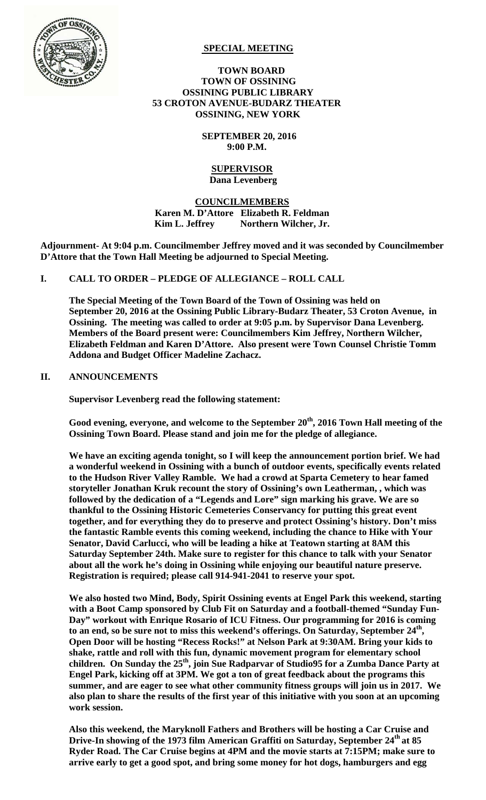

## **SPECIAL MEETING**

#### **TOWN BOARD TOWN OF OSSINING OSSINING PUBLIC LIBRARY 53 CROTON AVENUE-BUDARZ THEATER OSSINING, NEW YORK**

 **SEPTEMBER 20, 2016 9:00 P.M.** 

#### **SUPERVISOR Dana Levenberg**

# **COUNCILMEMBERS Karen M. D'Attore Elizabeth R. Feldman**  Kim L. Jeffrey Northern Wilcher, Jr.

**Adjournment- At 9:04 p.m. Councilmember Jeffrey moved and it was seconded by Councilmember D'Attore that the Town Hall Meeting be adjourned to Special Meeting.** 

## **I. CALL TO ORDER – PLEDGE OF ALLEGIANCE – ROLL CALL**

**The Special Meeting of the Town Board of the Town of Ossining was held on September 20, 2016 at the Ossining Public Library-Budarz Theater, 53 Croton Avenue, in Ossining. The meeting was called to order at 9:05 p.m. by Supervisor Dana Levenberg. Members of the Board present were: Councilmembers Kim Jeffrey, Northern Wilcher, Elizabeth Feldman and Karen D'Attore. Also present were Town Counsel Christie Tomm Addona and Budget Officer Madeline Zachacz.** 

## **II. ANNOUNCEMENTS**

**Supervisor Levenberg read the following statement:** 

**Good evening, everyone, and welcome to the September 20th, 2016 Town Hall meeting of the Ossining Town Board. Please stand and join me for the pledge of allegiance.** 

**We have an exciting agenda tonight, so I will keep the announcement portion brief. We had a wonderful weekend in Ossining with a bunch of outdoor events, specifically events related to the Hudson River Valley Ramble. We had a crowd at Sparta Cemetery to hear famed storyteller Jonathan Kruk recount the story of Ossining's own Leatherman, , which was followed by the dedication of a "Legends and Lore" sign marking his grave. We are so thankful to the Ossining Historic Cemeteries Conservancy for putting this great event together, and for everything they do to preserve and protect Ossining's history. Don't miss the fantastic Ramble events this coming weekend, including the chance to Hike with Your Senator, David Carlucci, who will be leading a hike at Teatown starting at 8AM this Saturday September 24th. Make sure to register for this chance to talk with your Senator about all the work he's doing in Ossining while enjoying our beautiful nature preserve. Registration is required; please call 914-941-2041 to reserve your spot.** 

**We also hosted two Mind, Body, Spirit Ossining events at Engel Park this weekend, starting with a Boot Camp sponsored by Club Fit on Saturday and a football-themed "Sunday Fun-Day" workout with Enrique Rosario of ICU Fitness. Our programming for 2016 is coming**  to an end, so be sure not to miss this weekend's offerings. On Saturday, September 24<sup>th</sup>, **Open Door will be hosting "Recess Rocks!" at Nelson Park at 9:30AM. Bring your kids to shake, rattle and roll with this fun, dynamic movement program for elementary school**  children. On Sunday the 25<sup>th</sup>, join Sue Radparvar of Studio95 for a Zumba Dance Party at **Engel Park, kicking off at 3PM. We got a ton of great feedback about the programs this summer, and are eager to see what other community fitness groups will join us in 2017. We also plan to share the results of the first year of this initiative with you soon at an upcoming work session.** 

**Also this weekend, the Maryknoll Fathers and Brothers will be hosting a Car Cruise and Drive-In showing of the 1973 film American Graffiti on Saturday, September 24th at 85 Ryder Road. The Car Cruise begins at 4PM and the movie starts at 7:15PM; make sure to arrive early to get a good spot, and bring some money for hot dogs, hamburgers and egg**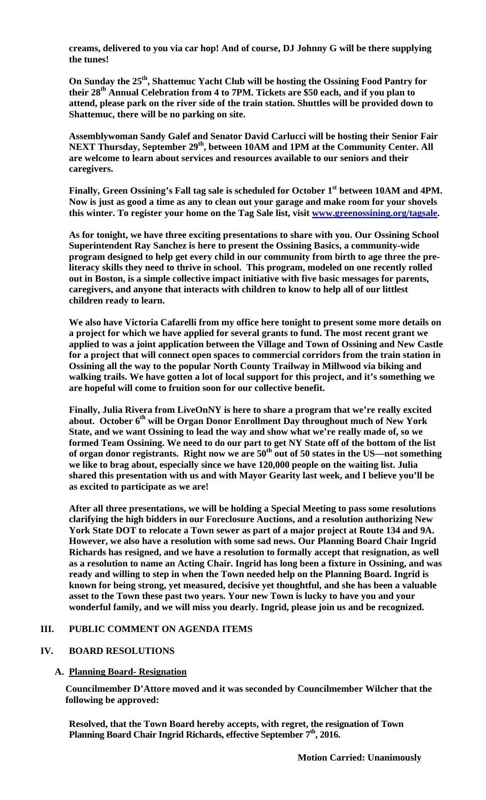**creams, delivered to you via car hop! And of course, DJ Johnny G will be there supplying the tunes!** 

**On Sunday the 25th, Shattemuc Yacht Club will be hosting the Ossining Food Pantry for their 28th Annual Celebration from 4 to 7PM. Tickets are \$50 each, and if you plan to attend, please park on the river side of the train station. Shuttles will be provided down to Shattemuc, there will be no parking on site.** 

**Assemblywoman Sandy Galef and Senator David Carlucci will be hosting their Senior Fair NEXT Thursday, September 29<sup>th</sup>, between 10AM and 1PM at the Community Center. All are welcome to learn about services and resources available to our seniors and their caregivers.** 

Finally, Green Ossining's Fall tag sale is scheduled for October 1<sup>st</sup> between 10AM and 4PM. **Now is just as good a time as any to clean out your garage and make room for your shovels this winter. To register your home on the Tag Sale list, visit www.greenossining.org/tagsale.** 

**As for tonight, we have three exciting presentations to share with you. Our Ossining School Superintendent Ray Sanchez is here to present the Ossining Basics, a community-wide program designed to help get every child in our community from birth to age three the preliteracy skills they need to thrive in school. This program, modeled on one recently rolled out in Boston, is a simple collective impact initiative with five basic messages for parents, caregivers, and anyone that interacts with children to know to help all of our littlest children ready to learn.** 

**We also have Victoria Cafarelli from my office here tonight to present some more details on a project for which we have applied for several grants to fund. The most recent grant we applied to was a joint application between the Village and Town of Ossining and New Castle for a project that will connect open spaces to commercial corridors from the train station in Ossining all the way to the popular North County Trailway in Millwood via biking and walking trails. We have gotten a lot of local support for this project, and it's something we are hopeful will come to fruition soon for our collective benefit.** 

**Finally, Julia Rivera from LiveOnNY is here to share a program that we're really excited**  about. October 6<sup>th</sup> will be Organ Donor Enrollment Day throughout much of New York **State, and we want Ossining to lead the way and show what we're really made of, so we formed Team Ossining. We need to do our part to get NY State off of the bottom of the list**  of organ donor registrants. Right now we are 50<sup>th</sup> out of 50 states in the US—not something **we like to brag about, especially since we have 120,000 people on the waiting list. Julia shared this presentation with us and with Mayor Gearity last week, and I believe you'll be as excited to participate as we are!** 

**After all three presentations, we will be holding a Special Meeting to pass some resolutions clarifying the high bidders in our Foreclosure Auctions, and a resolution authorizing New York State DOT to relocate a Town sewer as part of a major project at Route 134 and 9A. However, we also have a resolution with some sad news. Our Planning Board Chair Ingrid Richards has resigned, and we have a resolution to formally accept that resignation, as well as a resolution to name an Acting Chair. Ingrid has long been a fixture in Ossining, and was ready and willing to step in when the Town needed help on the Planning Board. Ingrid is known for being strong, yet measured, decisive yet thoughtful, and she has been a valuable asset to the Town these past two years. Your new Town is lucky to have you and your wonderful family, and we will miss you dearly. Ingrid, please join us and be recognized.** 

## **III. PUBLIC COMMENT ON AGENDA ITEMS**

## **IV. BOARD RESOLUTIONS**

# **A. Planning Board- Resignation**

**Councilmember D'Attore moved and it was seconded by Councilmember Wilcher that the following be approved:** 

**Resolved, that the Town Board hereby accepts, with regret, the resignation of Town**  Planning Board Chair Ingrid Richards, effective September 7<sup>th</sup>, 2016.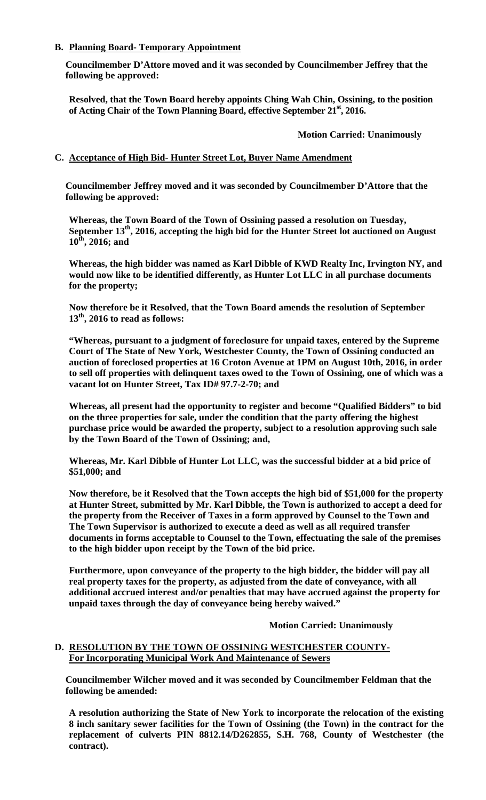## **B. Planning Board- Temporary Appointment**

**Councilmember D'Attore moved and it was seconded by Councilmember Jeffrey that the following be approved:** 

**Resolved, that the Town Board hereby appoints Ching Wah Chin, Ossining, to the position of Acting Chair of the Town Planning Board, effective September 21st, 2016.** 

 **Motion Carried: Unanimously**

## **C. Acceptance of High Bid- Hunter Street Lot, Buyer Name Amendment**

**Councilmember Jeffrey moved and it was seconded by Councilmember D'Attore that the following be approved:** 

**Whereas, the Town Board of the Town of Ossining passed a resolution on Tuesday,**  September 13<sup>th</sup>, 2016, accepting the high bid for the Hunter Street lot auctioned on August **10th, 2016; and** 

**Whereas, the high bidder was named as Karl Dibble of KWD Realty Inc, Irvington NY, and would now like to be identified differently, as Hunter Lot LLC in all purchase documents for the property;** 

**Now therefore be it Resolved, that the Town Board amends the resolution of September 13th, 2016 to read as follows:** 

**"Whereas, pursuant to a judgment of foreclosure for unpaid taxes, entered by the Supreme Court of The State of New York, Westchester County, the Town of Ossining conducted an auction of foreclosed properties at 16 Croton Avenue at 1PM on August 10th, 2016, in order to sell off properties with delinquent taxes owed to the Town of Ossining, one of which was a vacant lot on Hunter Street, Tax ID# 97.7-2-70; and** 

**Whereas, all present had the opportunity to register and become "Qualified Bidders" to bid on the three properties for sale, under the condition that the party offering the highest purchase price would be awarded the property, subject to a resolution approving such sale by the Town Board of the Town of Ossining; and,** 

**Whereas, Mr. Karl Dibble of Hunter Lot LLC, was the successful bidder at a bid price of \$51,000; and** 

**Now therefore, be it Resolved that the Town accepts the high bid of \$51,000 for the property at Hunter Street, submitted by Mr. Karl Dibble, the Town is authorized to accept a deed for the property from the Receiver of Taxes in a form approved by Counsel to the Town and The Town Supervisor is authorized to execute a deed as well as all required transfer documents in forms acceptable to Counsel to the Town, effectuating the sale of the premises to the high bidder upon receipt by the Town of the bid price.** 

**Furthermore, upon conveyance of the property to the high bidder, the bidder will pay all real property taxes for the property, as adjusted from the date of conveyance, with all additional accrued interest and/or penalties that may have accrued against the property for unpaid taxes through the day of conveyance being hereby waived."** 

## **Motion Carried: Unanimously**

## **D. RESOLUTION BY THE TOWN OF OSSINING WESTCHESTER COUNTY-For Incorporating Municipal Work And Maintenance of Sewers**

**Councilmember Wilcher moved and it was seconded by Councilmember Feldman that the following be amended:** 

**A resolution authorizing the State of New York to incorporate the relocation of the existing 8 inch sanitary sewer facilities for the Town of Ossining (the Town) in the contract for the replacement of culverts PIN 8812.14/D262855, S.H. 768, County of Westchester (the contract).**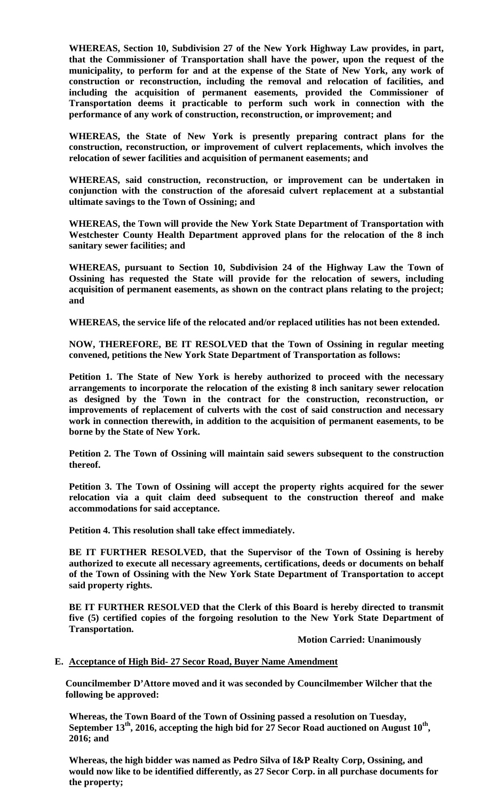**WHEREAS, Section 10, Subdivision 27 of the New York Highway Law provides, in part, that the Commissioner of Transportation shall have the power, upon the request of the municipality, to perform for and at the expense of the State of New York, any work of construction or reconstruction, including the removal and relocation of facilities, and including the acquisition of permanent easements, provided the Commissioner of Transportation deems it practicable to perform such work in connection with the performance of any work of construction, reconstruction, or improvement; and** 

**WHEREAS, the State of New York is presently preparing contract plans for the construction, reconstruction, or improvement of culvert replacements, which involves the relocation of sewer facilities and acquisition of permanent easements; and** 

**WHEREAS, said construction, reconstruction, or improvement can be undertaken in conjunction with the construction of the aforesaid culvert replacement at a substantial ultimate savings to the Town of Ossining; and** 

**WHEREAS, the Town will provide the New York State Department of Transportation with Westchester County Health Department approved plans for the relocation of the 8 inch sanitary sewer facilities; and** 

**WHEREAS, pursuant to Section 10, Subdivision 24 of the Highway Law the Town of Ossining has requested the State will provide for the relocation of sewers, including acquisition of permanent easements, as shown on the contract plans relating to the project; and** 

**WHEREAS, the service life of the relocated and/or replaced utilities has not been extended.** 

**NOW, THEREFORE, BE IT RESOLVED that the Town of Ossining in regular meeting convened, petitions the New York State Department of Transportation as follows:** 

**Petition 1. The State of New York is hereby authorized to proceed with the necessary arrangements to incorporate the relocation of the existing 8 inch sanitary sewer relocation as designed by the Town in the contract for the construction, reconstruction, or improvements of replacement of culverts with the cost of said construction and necessary work in connection therewith, in addition to the acquisition of permanent easements, to be borne by the State of New York.** 

**Petition 2. The Town of Ossining will maintain said sewers subsequent to the construction thereof.** 

**Petition 3. The Town of Ossining will accept the property rights acquired for the sewer relocation via a quit claim deed subsequent to the construction thereof and make accommodations for said acceptance.** 

**Petition 4. This resolution shall take effect immediately.** 

**BE IT FURTHER RESOLVED, that the Supervisor of the Town of Ossining is hereby authorized to execute all necessary agreements, certifications, deeds or documents on behalf of the Town of Ossining with the New York State Department of Transportation to accept said property rights.** 

**BE IT FURTHER RESOLVED that the Clerk of this Board is hereby directed to transmit five (5) certified copies of the forgoing resolution to the New York State Department of Transportation.** 

 **Motion Carried: Unanimously** 

#### **E. Acceptance of High Bid- 27 Secor Road, Buyer Name Amendment**

**Councilmember D'Attore moved and it was seconded by Councilmember Wilcher that the following be approved:** 

**Whereas, the Town Board of the Town of Ossining passed a resolution on Tuesday,**  September 13<sup>th</sup>, 2016, accepting the high bid for 27 Secor Road auctioned on August 10<sup>th</sup>, **2016; and**

**Whereas, the high bidder was named as Pedro Silva of I&P Realty Corp, Ossining, and would now like to be identified differently, as 27 Secor Corp. in all purchase documents for the property;**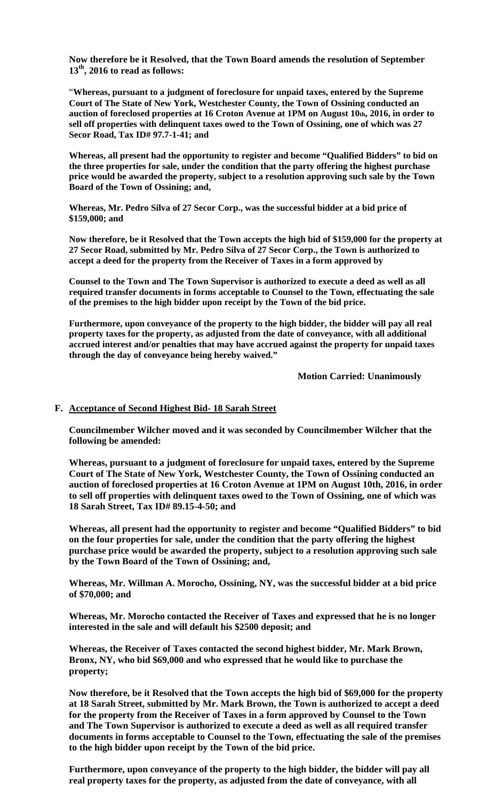**Now therefore be it Resolved, that the Town Board amends the resolution of September 13th, 2016 to read as follows:** 

"**Whereas, pursuant to a judgment of foreclosure for unpaid taxes, entered by the Supreme Court of The State of New York, Westchester County, the Town of Ossining conducted an auction of foreclosed properties at 16 Croton Avenue at 1PM on August 10th, 2016, in order to sell off properties with delinquent taxes owed to the Town of Ossining, one of which was 27 Secor Road, Tax ID# 97.7-1-41; and** 

**Whereas, all present had the opportunity to register and become "Qualified Bidders" to bid on the three properties for sale, under the condition that the party offering the highest purchase price would be awarded the property, subject to a resolution approving such sale by the Town Board of the Town of Ossining; and,** 

**Whereas, Mr. Pedro Silva of 27 Secor Corp., was the successful bidder at a bid price of \$159,000; and** 

**Now therefore, be it Resolved that the Town accepts the high bid of \$159,000 for the property at 27 Secor Road, submitted by Mr. Pedro Silva of 27 Secor Corp., the Town is authorized to accept a deed for the property from the Receiver of Taxes in a form approved by** 

**Counsel to the Town and The Town Supervisor is authorized to execute a deed as well as all required transfer documents in forms acceptable to Counsel to the Town, effectuating the sale of the premises to the high bidder upon receipt by the Town of the bid price.** 

**Furthermore, upon conveyance of the property to the high bidder, the bidder will pay all real property taxes for the property, as adjusted from the date of conveyance, with all additional accrued interest and/or penalties that may have accrued against the property for unpaid taxes through the day of conveyance being hereby waived."** 

**Motion Carried: Unanimously** 

#### **F. Acceptance of Second Highest Bid- 18 Sarah Street**

**Councilmember Wilcher moved and it was seconded by Councilmember Wilcher that the following be amended:** 

**Whereas, pursuant to a judgment of foreclosure for unpaid taxes, entered by the Supreme Court of The State of New York, Westchester County, the Town of Ossining conducted an auction of foreclosed properties at 16 Croton Avenue at 1PM on August 10th, 2016, in order to sell off properties with delinquent taxes owed to the Town of Ossining, one of which was 18 Sarah Street, Tax ID# 89.15-4-50; and** 

**Whereas, all present had the opportunity to register and become "Qualified Bidders" to bid on the four properties for sale, under the condition that the party offering the highest purchase price would be awarded the property, subject to a resolution approving such sale by the Town Board of the Town of Ossining; and,** 

**Whereas, Mr. Willman A. Morocho, Ossining, NY, was the successful bidder at a bid price of \$70,000; and** 

**Whereas, Mr. Morocho contacted the Receiver of Taxes and expressed that he is no longer interested in the sale and will default his \$2500 deposit; and** 

**Whereas, the Receiver of Taxes contacted the second highest bidder, Mr. Mark Brown, Bronx, NY, who bid \$69,000 and who expressed that he would like to purchase the property;** 

**Now therefore, be it Resolved that the Town accepts the high bid of \$69,000 for the property at 18 Sarah Street, submitted by Mr. Mark Brown, the Town is authorized to accept a deed for the property from the Receiver of Taxes in a form approved by Counsel to the Town and The Town Supervisor is authorized to execute a deed as well as all required transfer documents in forms acceptable to Counsel to the Town, effectuating the sale of the premises to the high bidder upon receipt by the Town of the bid price.** 

**Furthermore, upon conveyance of the property to the high bidder, the bidder will pay all real property taxes for the property, as adjusted from the date of conveyance, with all**